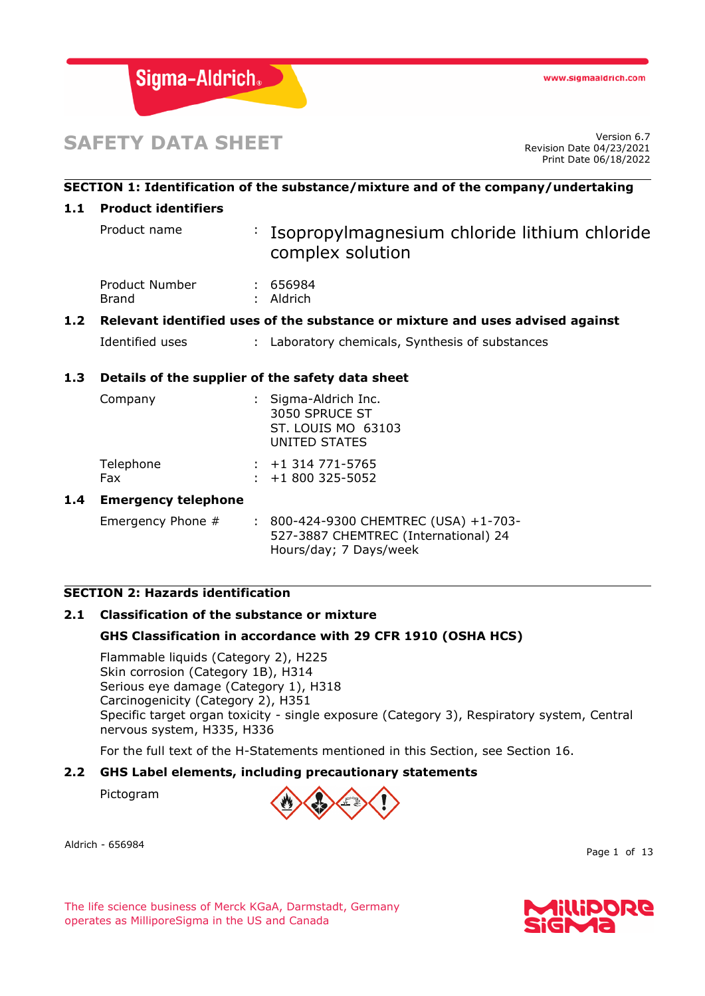

# **SAFETY DATA SHEET**

Revision Date 04/23/2021 Print Date 06/18/2022

# **SECTION 1: Identification of the substance/mixture and of the company/undertaking 1.1 Product identifiers** Product name : Isopropylmagnesium chloride lithium chloride complex solution Product Number : 656984 Brand : Aldrich **1.2 Relevant identified uses of the substance or mixture and uses advised against** Identified uses : Laboratory chemicals, Synthesis of substances **1.3 Details of the supplier of the safety data sheet** Company : Sigma-Aldrich Inc. 3050 SPRUCE ST ST. LOUIS MO 63103 UNITED STATES Telephone : +1 314 771-5765 Fax : +1 800 325-5052 **1.4 Emergency telephone** Emergency Phone # : 800-424-9300 CHEMTREC (USA) +1-703-527-3887 CHEMTREC (International) 24 Hours/day; 7 Days/week

# **SECTION 2: Hazards identification**

# **2.1 Classification of the substance or mixture**

# **GHS Classification in accordance with 29 CFR 1910 (OSHA HCS)**

Flammable liquids (Category 2), H225 Skin corrosion (Category 1B), H314 Serious eye damage (Category 1), H318 Carcinogenicity (Category 2), H351 Specific target organ toxicity - single exposure (Category 3), Respiratory system, Central nervous system, H335, H336

For the full text of the H-Statements mentioned in this Section, see Section 16.

# **2.2 GHS Label elements, including precautionary statements**

Pictogram

Aldrich - 656984



Page 1 of 13

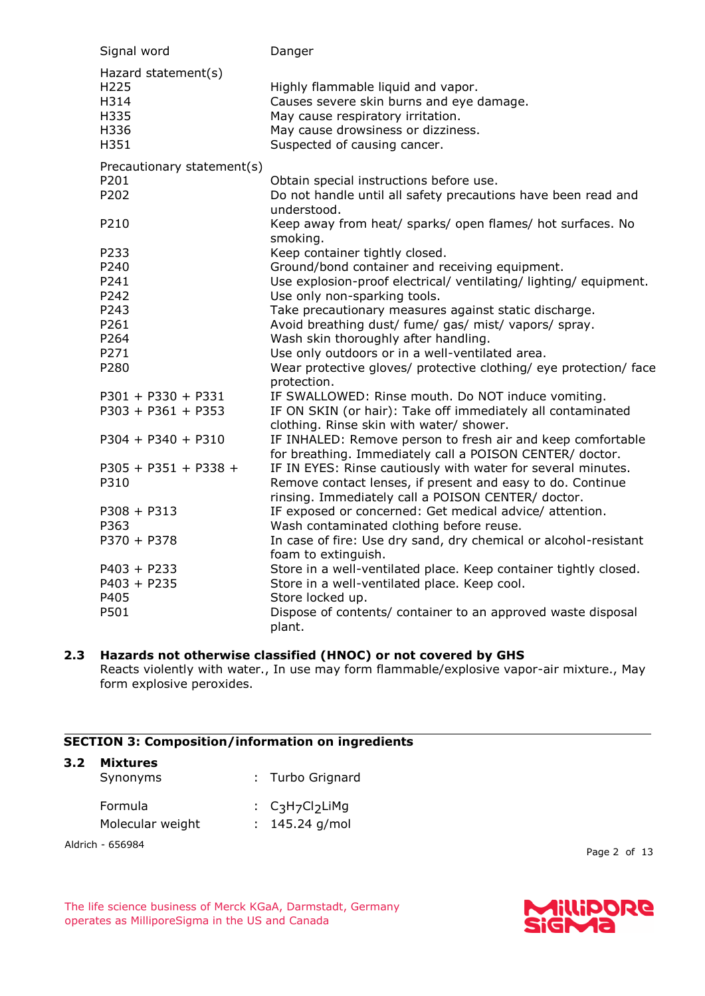| Signal word                                                 | Danger                                                                                                                                                                                                                                                     |
|-------------------------------------------------------------|------------------------------------------------------------------------------------------------------------------------------------------------------------------------------------------------------------------------------------------------------------|
| Hazard statement(s)<br>H225<br>H314<br>H335<br>H336<br>H351 | Highly flammable liquid and vapor.<br>Causes severe skin burns and eye damage.<br>May cause respiratory irritation.<br>May cause drowsiness or dizziness.<br>Suspected of causing cancer.                                                                  |
| Precautionary statement(s)<br>P201<br>P202<br>P210          | Obtain special instructions before use.<br>Do not handle until all safety precautions have been read and<br>understood.<br>Keep away from heat/ sparks/ open flames/ hot surfaces. No                                                                      |
| P233<br>P240<br>P241<br>P242<br>P243                        | smoking.<br>Keep container tightly closed.<br>Ground/bond container and receiving equipment.<br>Use explosion-proof electrical/ ventilating/ lighting/ equipment.<br>Use only non-sparking tools.<br>Take precautionary measures against static discharge. |
| P261<br>P264<br>P271<br>P280                                | Avoid breathing dust/ fume/ gas/ mist/ vapors/ spray.<br>Wash skin thoroughly after handling.<br>Use only outdoors or in a well-ventilated area.<br>Wear protective gloves/ protective clothing/ eye protection/ face<br>protection.                       |
| $P301 + P330 + P331$<br>$P303 + P361 + P353$                | IF SWALLOWED: Rinse mouth. Do NOT induce vomiting.<br>IF ON SKIN (or hair): Take off immediately all contaminated<br>clothing. Rinse skin with water/ shower.                                                                                              |
| $P304 + P340 + P310$                                        | IF INHALED: Remove person to fresh air and keep comfortable<br>for breathing. Immediately call a POISON CENTER/ doctor.                                                                                                                                    |
| $P305 + P351 + P338 +$<br>P310                              | IF IN EYES: Rinse cautiously with water for several minutes.<br>Remove contact lenses, if present and easy to do. Continue<br>rinsing. Immediately call a POISON CENTER/ doctor.                                                                           |
| $P308 + P313$<br>P363<br>$P370 + P378$                      | IF exposed or concerned: Get medical advice/ attention.<br>Wash contaminated clothing before reuse.<br>In case of fire: Use dry sand, dry chemical or alcohol-resistant                                                                                    |
| $P403 + P233$<br>$P403 + P235$                              | foam to extinguish.<br>Store in a well-ventilated place. Keep container tightly closed.<br>Store in a well-ventilated place. Keep cool.                                                                                                                    |
| P405<br>P501                                                | Store locked up.<br>Dispose of contents/ container to an approved waste disposal<br>plant.                                                                                                                                                                 |

# **2.3 Hazards not otherwise classified (HNOC) or not covered by GHS**

Reacts violently with water., In use may form flammable/explosive vapor-air mixture., May form explosive peroxides.

# **SECTION 3: Composition/information on ingredients**

| Synonyms                    | : Turbo Grignard                        |
|-----------------------------|-----------------------------------------|
| Formula<br>Molecular weight | : $C_3H_7Cl_2L$ iMg<br>$: 145.24$ g/mol |

Aldrich - 656984

Page 2 of 13

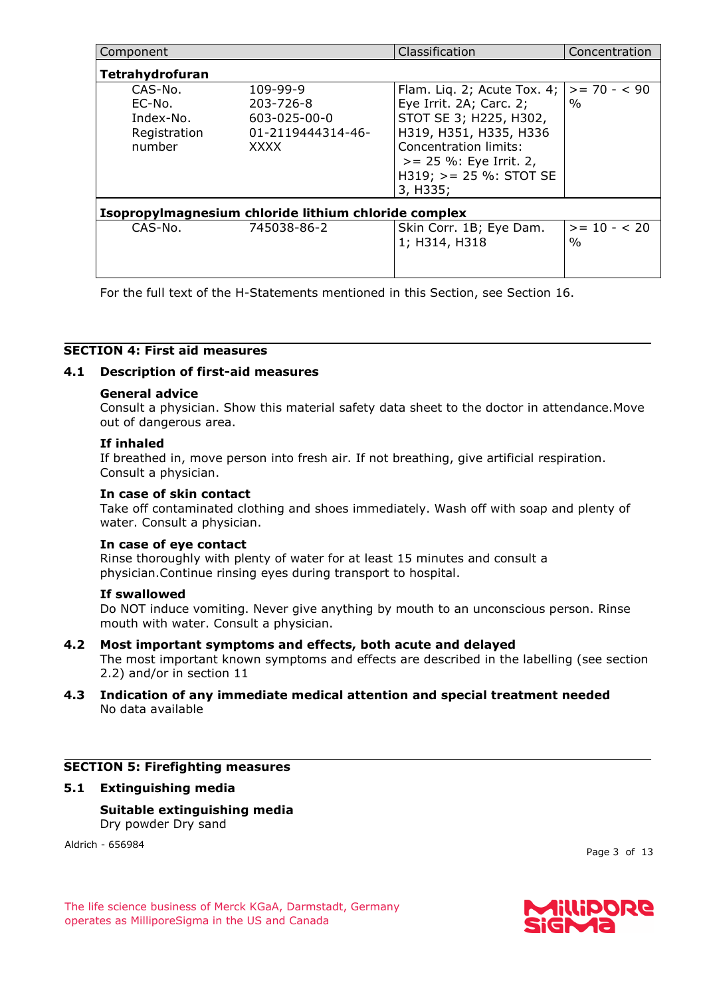| Component                                                |                                                                    | Classification                                                                                                                                                                                                     | Concentration         |
|----------------------------------------------------------|--------------------------------------------------------------------|--------------------------------------------------------------------------------------------------------------------------------------------------------------------------------------------------------------------|-----------------------|
| Tetrahydrofuran                                          |                                                                    |                                                                                                                                                                                                                    |                       |
| CAS-No.<br>EC-No.<br>Index-No.<br>Registration<br>number | 109-99-9<br>203-726-8<br>603-025-00-0<br>01-2119444314-46-<br>XXXX | Flam. Liq. 2; Acute Tox. 4; $\vert$<br>Eye Irrit. 2A; Carc. 2;<br>STOT SE 3; H225, H302,<br>H319, H351, H335, H336<br>Concentration limits:<br>$>= 25$ %: Eye Irrit. 2,<br>$H319$ ; $>= 25$ %: STOT SE<br>3, H335; | $>= 70 - 590$<br>$\%$ |
|                                                          | Isopropylmagnesium chloride lithium chloride complex               |                                                                                                                                                                                                                    |                       |
| CAS-No.                                                  | 745038-86-2                                                        | Skin Corr. 1B; Eye Dam.<br>1; H314, H318                                                                                                                                                                           | $>= 10 - 20$<br>$\%$  |

For the full text of the H-Statements mentioned in this Section, see Section 16.

# **SECTION 4: First aid measures**

# **4.1 Description of first-aid measures**

### **General advice**

Consult a physician. Show this material safety data sheet to the doctor in attendance.Move out of dangerous area.

#### **If inhaled**

If breathed in, move person into fresh air. If not breathing, give artificial respiration. Consult a physician.

#### **In case of skin contact**

Take off contaminated clothing and shoes immediately. Wash off with soap and plenty of water. Consult a physician.

#### **In case of eye contact**

Rinse thoroughly with plenty of water for at least 15 minutes and consult a physician.Continue rinsing eyes during transport to hospital.

#### **If swallowed**

Do NOT induce vomiting. Never give anything by mouth to an unconscious person. Rinse mouth with water. Consult a physician.

#### **4.2 Most important symptoms and effects, both acute and delayed**

The most important known symptoms and effects are described in the labelling (see section 2.2) and/or in section 11

# **4.3 Indication of any immediate medical attention and special treatment needed** No data available

#### **SECTION 5: Firefighting measures**

#### **5.1 Extinguishing media**

# **Suitable extinguishing media** Dry powder Dry sand

Aldrich - 656984

Page 3 of 13

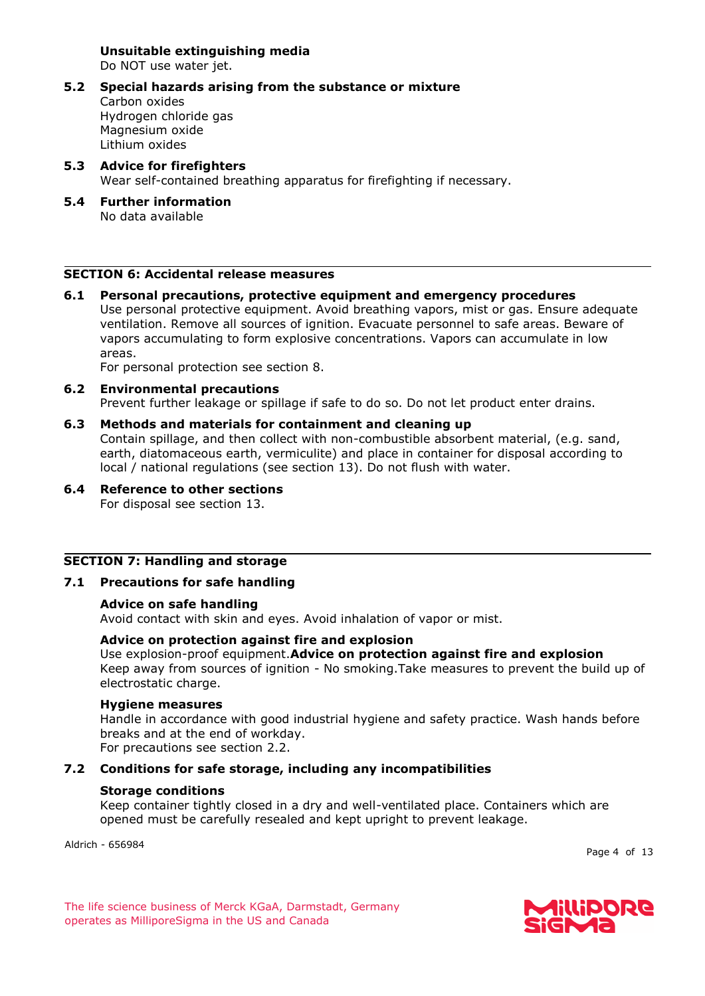**Unsuitable extinguishing media** Do NOT use water jet.

- **5.2 Special hazards arising from the substance or mixture** Carbon oxides Hydrogen chloride gas Magnesium oxide Lithium oxides
- **5.3 Advice for firefighters** Wear self-contained breathing apparatus for firefighting if necessary.
- **5.4 Further information** No data available

# **SECTION 6: Accidental release measures**

**6.1 Personal precautions, protective equipment and emergency procedures** Use personal protective equipment. Avoid breathing vapors, mist or gas. Ensure adequate ventilation. Remove all sources of ignition. Evacuate personnel to safe areas. Beware of vapors accumulating to form explosive concentrations. Vapors can accumulate in low areas.

For personal protection see section 8.

#### **6.2 Environmental precautions**

Prevent further leakage or spillage if safe to do so. Do not let product enter drains.

#### **6.3 Methods and materials for containment and cleaning up**

Contain spillage, and then collect with non-combustible absorbent material, (e.g. sand, earth, diatomaceous earth, vermiculite) and place in container for disposal according to local / national regulations (see section 13). Do not flush with water.

# **6.4 Reference to other sections**

For disposal see section 13.

#### **SECTION 7: Handling and storage**

# **7.1 Precautions for safe handling**

#### **Advice on safe handling**

Avoid contact with skin and eyes. Avoid inhalation of vapor or mist.

# **Advice on protection against fire and explosion**

Use explosion-proof equipment.**Advice on protection against fire and explosion** Keep away from sources of ignition - No smoking.Take measures to prevent the build up of electrostatic charge.

#### **Hygiene measures**

Handle in accordance with good industrial hygiene and safety practice. Wash hands before breaks and at the end of workday.

For precautions see section 2.2.

# **7.2 Conditions for safe storage, including any incompatibilities**

#### **Storage conditions**

Keep container tightly closed in a dry and well-ventilated place. Containers which are opened must be carefully resealed and kept upright to prevent leakage.

Aldrich - 656984

Page 4 of 13

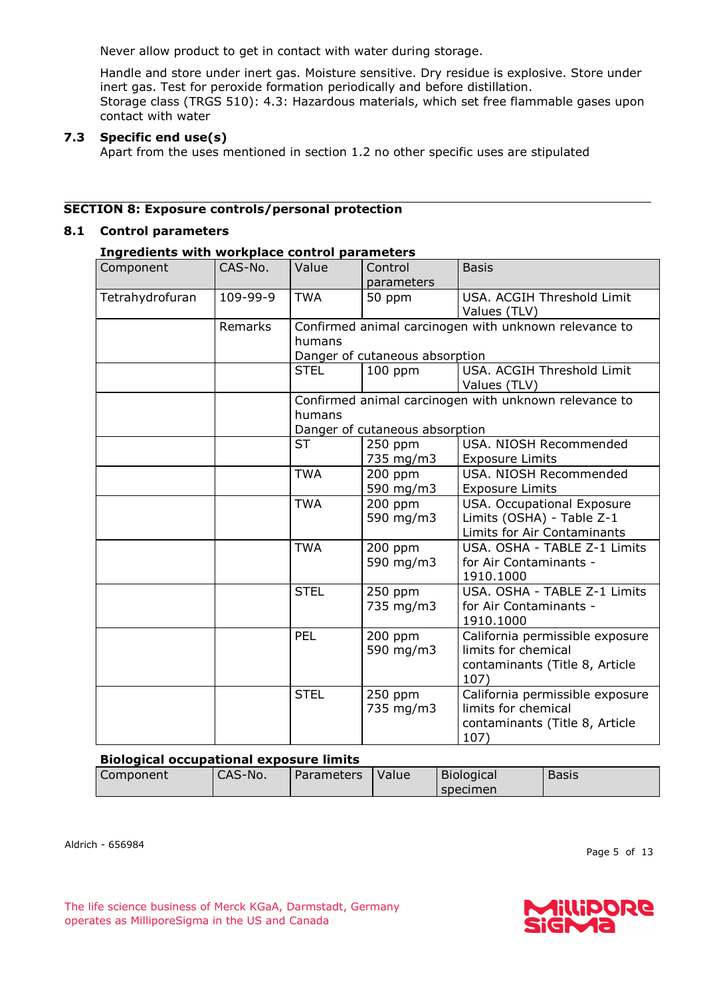Never allow product to get in contact with water during storage.

Handle and store under inert gas. Moisture sensitive. Dry residue is explosive. Store under inert gas. Test for peroxide formation periodically and before distillation. Storage class (TRGS 510): 4.3: Hazardous materials, which set free flammable gases upon contact with water

# **7.3 Specific end use(s)**

Apart from the uses mentioned in section 1.2 no other specific uses are stipulated

# **SECTION 8: Exposure controls/personal protection**

# **8.1 Control parameters**

# **Ingredients with workplace control parameters**

| Component       | CAS-No.  | Value       | Control<br>parameters                                    | <b>Basis</b>                                                                                     |
|-----------------|----------|-------------|----------------------------------------------------------|--------------------------------------------------------------------------------------------------|
| Tetrahydrofuran | 109-99-9 | <b>TWA</b>  | 50 ppm                                                   | USA. ACGIH Threshold Limit<br>Values (TLV)                                                       |
|                 | Remarks  | humans      | Danger of cutaneous absorption                           | Confirmed animal carcinogen with unknown relevance to                                            |
|                 |          | <b>STEL</b> | $100$ ppm                                                | USA. ACGIH Threshold Limit<br>Values (TLV)                                                       |
|                 |          | humans      |                                                          | Confirmed animal carcinogen with unknown relevance to                                            |
|                 |          | <b>ST</b>   | Danger of cutaneous absorption<br>$250$ ppm<br>735 mg/m3 | USA. NIOSH Recommended<br><b>Exposure Limits</b>                                                 |
|                 |          | <b>TWA</b>  | 200 ppm<br>590 mg/m3                                     | USA. NIOSH Recommended<br><b>Exposure Limits</b>                                                 |
|                 |          | <b>TWA</b>  | 200 ppm<br>590 mg/m3                                     | USA. Occupational Exposure<br>Limits (OSHA) - Table Z-1<br>Limits for Air Contaminants           |
|                 |          | <b>TWA</b>  | 200 ppm<br>590 mg/m3                                     | USA. OSHA - TABLE Z-1 Limits<br>for Air Contaminants -<br>1910.1000                              |
|                 |          | <b>STEL</b> | 250 ppm<br>735 mg/m3                                     | USA. OSHA - TABLE Z-1 Limits<br>for Air Contaminants -<br>1910.1000                              |
|                 |          | PEL         | 200 ppm<br>590 mg/m3                                     | California permissible exposure<br>limits for chemical<br>contaminants (Title 8, Article<br>107) |
|                 |          | <b>STEL</b> | 250 ppm<br>735 mg/m3                                     | California permissible exposure<br>limits for chemical<br>contaminants (Title 8, Article<br>107) |

# **Biological occupational exposure limits**

| Component | CAS-No. | Parameters | Value | <b>Biological</b> | Basis |
|-----------|---------|------------|-------|-------------------|-------|
|           |         |            |       | specimen          |       |

Aldrich - 656984

Page 5 of 13

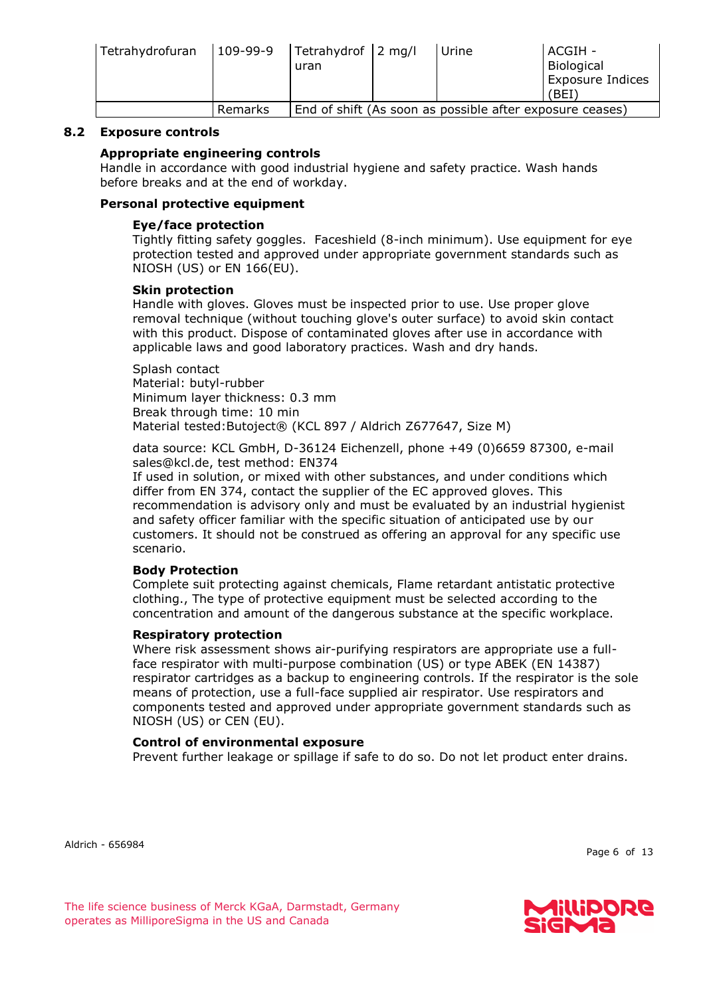| Tetrahydrofuran | $109-99-9$ | Tetrahydrof 2 mg/l<br>uran | Urine                                                    | ACGIH -<br>Biological<br>Exposure Indices<br>(BEI) |
|-----------------|------------|----------------------------|----------------------------------------------------------|----------------------------------------------------|
|                 | Remarks    |                            | End of shift (As soon as possible after exposure ceases) |                                                    |

# **8.2 Exposure controls**

# **Appropriate engineering controls**

Handle in accordance with good industrial hygiene and safety practice. Wash hands before breaks and at the end of workday.

# **Personal protective equipment**

# **Eye/face protection**

Tightly fitting safety goggles. Faceshield (8-inch minimum). Use equipment for eye protection tested and approved under appropriate government standards such as NIOSH (US) or EN 166(EU).

# **Skin protection**

Handle with gloves. Gloves must be inspected prior to use. Use proper glove removal technique (without touching glove's outer surface) to avoid skin contact with this product. Dispose of contaminated gloves after use in accordance with applicable laws and good laboratory practices. Wash and dry hands.

Splash contact Material: butyl-rubber Minimum layer thickness: 0.3 mm Break through time: 10 min Material tested:Butoject® (KCL 897 / Aldrich Z677647, Size M)

data source: KCL GmbH, D-36124 Eichenzell, phone +49 (0)6659 87300, e-mail sales@kcl.de, test method: EN374

If used in solution, or mixed with other substances, and under conditions which differ from EN 374, contact the supplier of the EC approved gloves. This recommendation is advisory only and must be evaluated by an industrial hygienist and safety officer familiar with the specific situation of anticipated use by our customers. It should not be construed as offering an approval for any specific use scenario.

# **Body Protection**

Complete suit protecting against chemicals, Flame retardant antistatic protective clothing., The type of protective equipment must be selected according to the concentration and amount of the dangerous substance at the specific workplace.

# **Respiratory protection**

Where risk assessment shows air-purifying respirators are appropriate use a fullface respirator with multi-purpose combination (US) or type ABEK (EN 14387) respirator cartridges as a backup to engineering controls. If the respirator is the sole means of protection, use a full-face supplied air respirator. Use respirators and components tested and approved under appropriate government standards such as NIOSH (US) or CEN (EU).

# **Control of environmental exposure**

Prevent further leakage or spillage if safe to do so. Do not let product enter drains.

Aldrich - 656984

Page 6 of 13

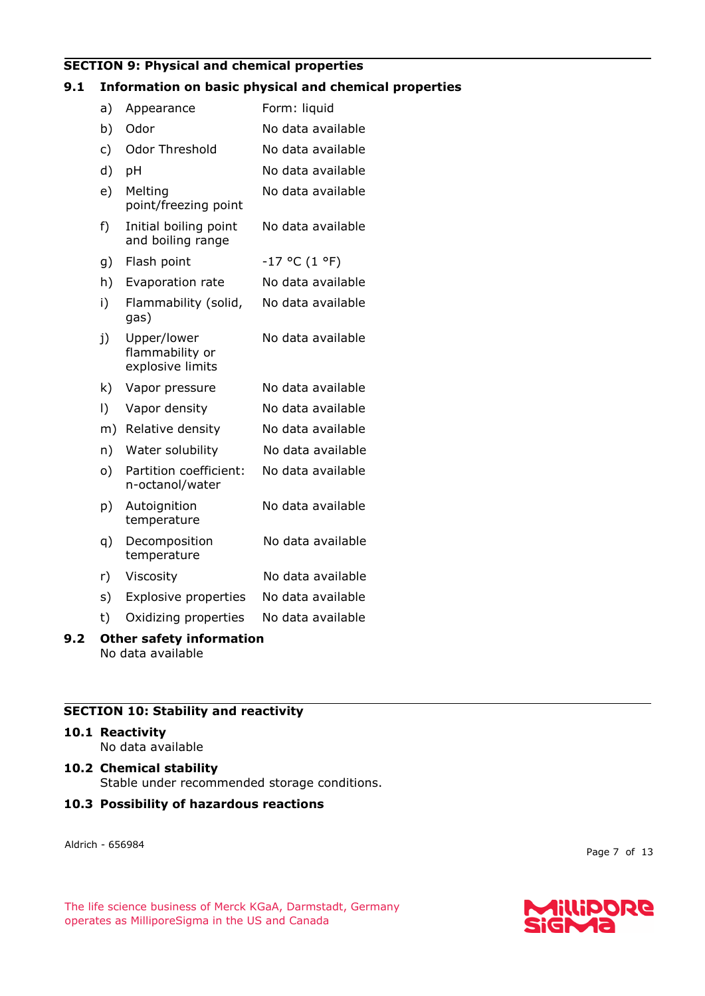# **SECTION 9: Physical and chemical properties**

# **9.1 Information on basic physical and chemical properties**

| a)                              | Appearance                                         | Form: liquid      |  |
|---------------------------------|----------------------------------------------------|-------------------|--|
| b)                              | Odor                                               | No data available |  |
| c)                              | Odor Threshold                                     | No data available |  |
| d)                              | pH                                                 | No data available |  |
| e)                              | Melting<br>point/freezing point                    | No data available |  |
| f)                              | Initial boiling point<br>and boiling range         | No data available |  |
| g)                              | Flash point                                        | $-17$ °C (1 °F)   |  |
| h)                              | Evaporation rate                                   | No data available |  |
| i)                              | Flammability (solid,<br>gas)                       | No data available |  |
| j)                              | Upper/lower<br>flammability or<br>explosive limits | No data available |  |
| k)                              | Vapor pressure                                     | No data available |  |
| $\vert$ )                       | Vapor density                                      | No data available |  |
| m)                              | Relative density                                   | No data available |  |
| n)                              | Water solubility                                   | No data available |  |
| o)                              | Partition coefficient:<br>n-octanol/water          | No data available |  |
| p)                              | Autoignition<br>temperature                        | No data available |  |
| q)                              | Decomposition<br>temperature                       | No data available |  |
| r)                              | Viscosity                                          | No data available |  |
| s)                              | <b>Explosive properties</b>                        | No data available |  |
| t)                              | Oxidizing properties                               | No data available |  |
| <b>Other safety information</b> |                                                    |                   |  |

No data available

# **SECTION 10: Stability and reactivity**

# **10.1 Reactivity**

**9.2** 

No data available

**10.2 Chemical stability** Stable under recommended storage conditions.

# **10.3 Possibility of hazardous reactions**

Aldrich - 656984

Page 7 of 13

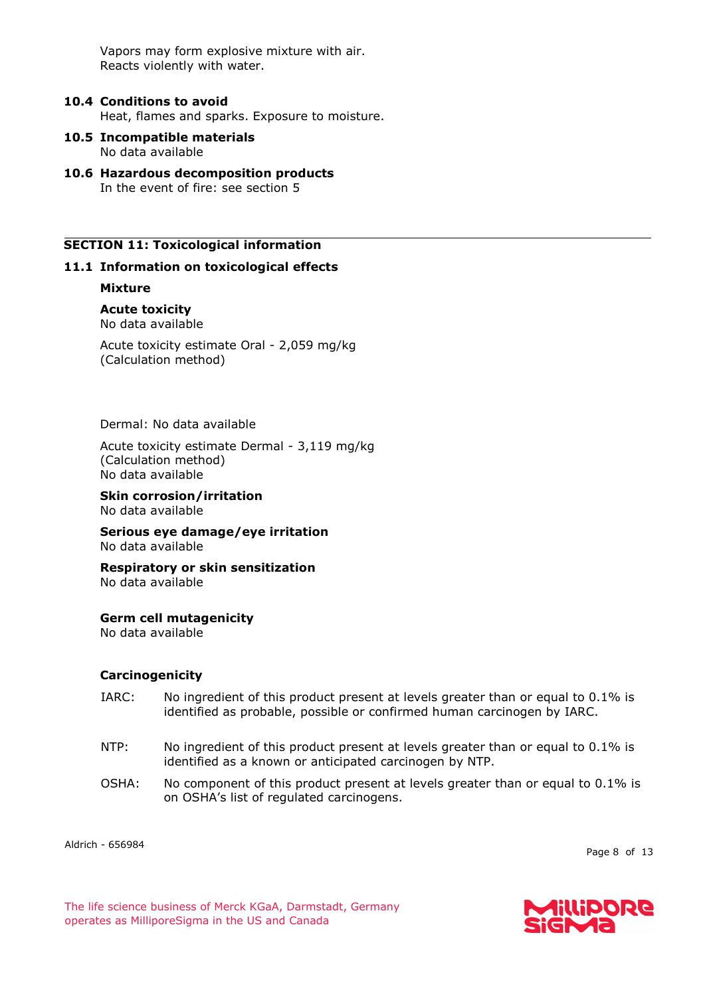Vapors may form explosive mixture with air. Reacts violently with water.

- **10.4 Conditions to avoid** Heat, flames and sparks. Exposure to moisture.
- **10.5 Incompatible materials** No data available
- **10.6 Hazardous decomposition products** In the event of fire: see section 5

### **SECTION 11: Toxicological information**

### **11.1 Information on toxicological effects**

**Mixture**

**Acute toxicity** No data available

Acute toxicity estimate Oral - 2,059 mg/kg (Calculation method)

Dermal: No data available

Acute toxicity estimate Dermal - 3,119 mg/kg (Calculation method) No data available

**Skin corrosion/irritation**

No data available

**Serious eye damage/eye irritation** No data available

**Respiratory or skin sensitization** No data available

#### **Germ cell mutagenicity**

No data available

#### **Carcinogenicity**

- IARC: No ingredient of this product present at levels greater than or equal to 0.1% is identified as probable, possible or confirmed human carcinogen by IARC.
- NTP: No ingredient of this product present at levels greater than or equal to 0.1% is identified as a known or anticipated carcinogen by NTP.
- OSHA: No component of this product present at levels greater than or equal to 0.1% is on OSHA's list of regulated carcinogens.

Aldrich - 656984

Page 8 of 13

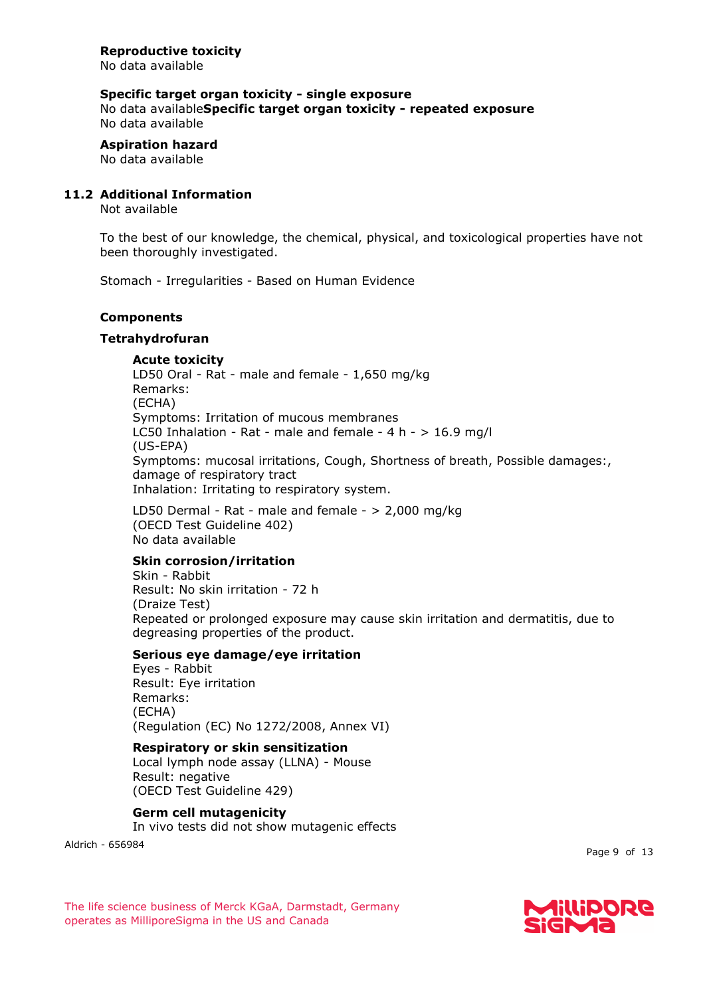# **Specific target organ toxicity - single exposure**

No data available**Specific target organ toxicity - repeated exposure** No data available

**Aspiration hazard** No data available

# **11.2 Additional Information**

Not available

To the best of our knowledge, the chemical, physical, and toxicological properties have not been thoroughly investigated.

Stomach - Irregularities - Based on Human Evidence

### **Components**

### **Tetrahydrofuran**

**Acute toxicity**

LD50 Oral - Rat - male and female - 1,650 mg/kg Remarks: (ECHA) Symptoms: Irritation of mucous membranes LC50 Inhalation - Rat - male and female -  $4 h - 16.9$  mg/l (US-EPA) Symptoms: mucosal irritations, Cough, Shortness of breath, Possible damages:, damage of respiratory tract Inhalation: Irritating to respiratory system.

LD50 Dermal - Rat - male and female - > 2,000 mg/kg (OECD Test Guideline 402) No data available

# **Skin corrosion/irritation**

Skin - Rabbit Result: No skin irritation - 72 h (Draize Test) Repeated or prolonged exposure may cause skin irritation and dermatitis, due to degreasing properties of the product.

# **Serious eye damage/eye irritation**

Eyes - Rabbit Result: Eye irritation Remarks: (ECHA) (Regulation (EC) No 1272/2008, Annex VI)

# **Respiratory or skin sensitization**

Local lymph node assay (LLNA) - Mouse Result: negative (OECD Test Guideline 429)

# **Germ cell mutagenicity**

In vivo tests did not show mutagenic effects

Aldrich - 656984

Page 9 of 13

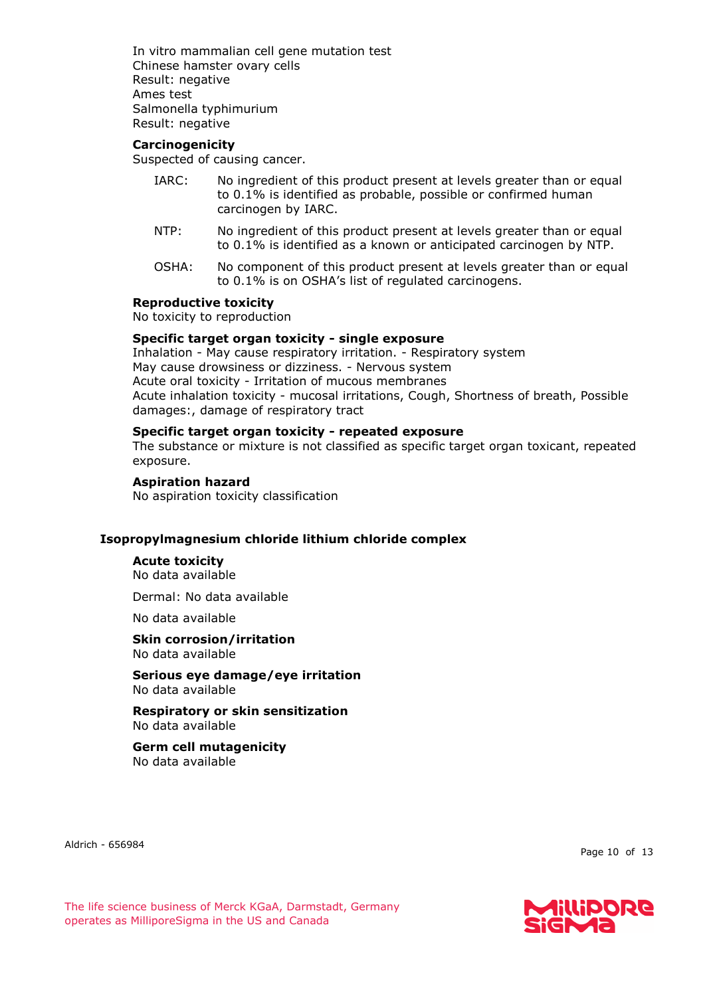In vitro mammalian cell gene mutation test Chinese hamster ovary cells Result: negative Ames test Salmonella typhimurium Result: negative

#### **Carcinogenicity**

Suspected of causing cancer.

- IARC: No ingredient of this product present at levels greater than or equal to 0.1% is identified as probable, possible or confirmed human carcinogen by IARC.
- NTP: No ingredient of this product present at levels greater than or equal to 0.1% is identified as a known or anticipated carcinogen by NTP.
- OSHA: No component of this product present at levels greater than or equal to 0.1% is on OSHA's list of regulated carcinogens.

#### **Reproductive toxicity**

No toxicity to reproduction

# **Specific target organ toxicity - single exposure**

Inhalation - May cause respiratory irritation. - Respiratory system May cause drowsiness or dizziness. - Nervous system Acute oral toxicity - Irritation of mucous membranes Acute inhalation toxicity - mucosal irritations, Cough, Shortness of breath, Possible damages:, damage of respiratory tract

### **Specific target organ toxicity - repeated exposure**

The substance or mixture is not classified as specific target organ toxicant, repeated exposure.

#### **Aspiration hazard**

No aspiration toxicity classification

#### **Isopropylmagnesium chloride lithium chloride complex**

#### **Acute toxicity**

No data available

Dermal: No data available

No data available

# **Skin corrosion/irritation**

No data available

**Serious eye damage/eye irritation** No data available

**Respiratory or skin sensitization** No data available

#### **Germ cell mutagenicity** No data available

Aldrich - 656984

Page 10 of 13



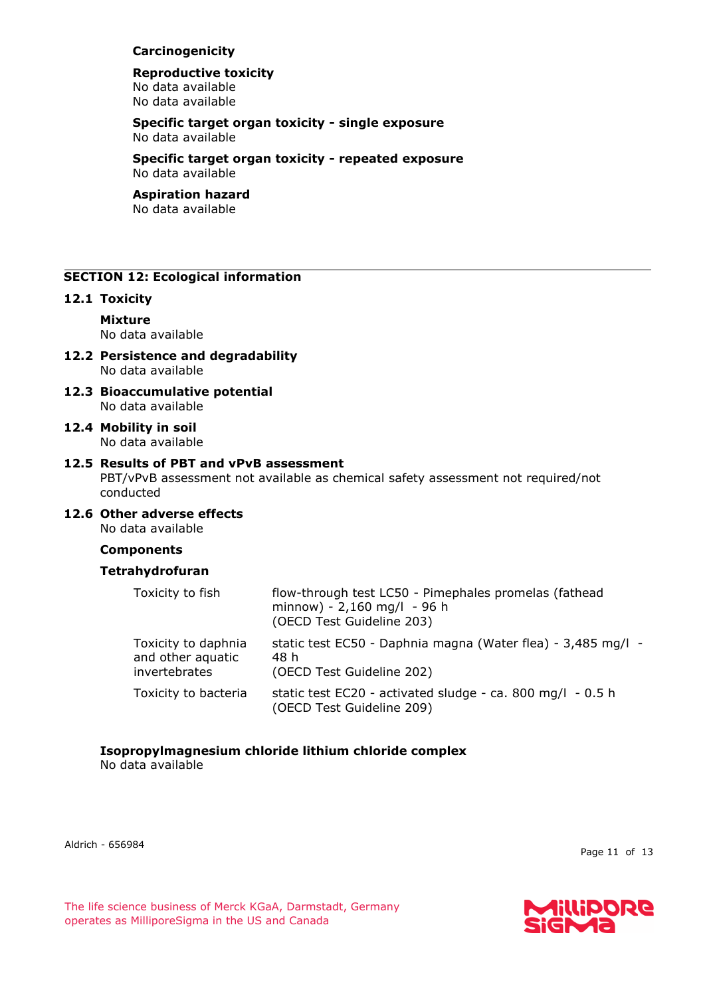# **Carcinogenicity**

#### **Reproductive toxicity** No data available No data available

### **Specific target organ toxicity - single exposure** No data available

**Specific target organ toxicity - repeated exposure** No data available

# **Aspiration hazard**

No data available

# **SECTION 12: Ecological information**

# **12.1 Toxicity**

**Mixture** No data available

- **12.2 Persistence and degradability** No data available
- **12.3 Bioaccumulative potential** No data available
- **12.4 Mobility in soil** No data available

# **12.5 Results of PBT and vPvB assessment**

PBT/vPvB assessment not available as chemical safety assessment not required/not conducted

**12.6 Other adverse effects** No data available

# **Components**

# **Tetrahydrofuran**

| Toxicity to fish                                          | flow-through test LC50 - Pimephales promelas (fathead<br>minnow) - 2,160 mg/l - 96 h<br>(OECD Test Guideline 203) |
|-----------------------------------------------------------|-------------------------------------------------------------------------------------------------------------------|
| Toxicity to daphnia<br>and other aquatic<br>invertebrates | static test EC50 - Daphnia magna (Water flea) - 3,485 mg/l -<br>48 h<br>(OECD Test Guideline 202)                 |
| Toxicity to bacteria                                      | static test $EC20 - activated$ sludge - ca. 800 mg/l - 0.5 h<br>(OECD Test Guideline 209)                         |

# **Isopropylmagnesium chloride lithium chloride complex**

No data available

Aldrich - 656984

Page 11 of 13



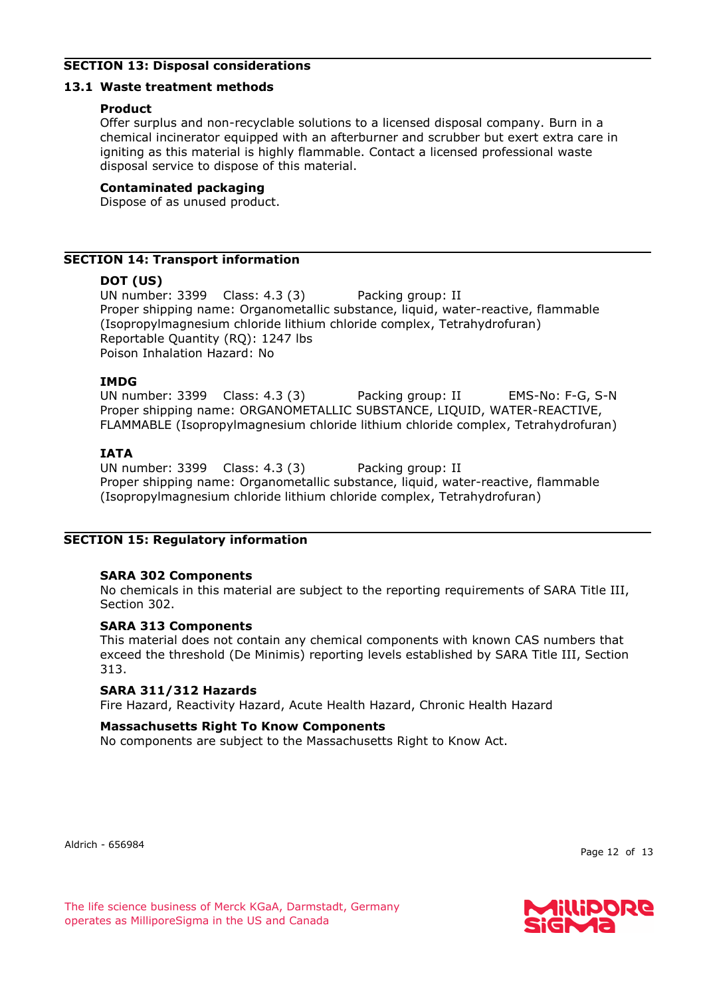# **SECTION 13: Disposal considerations**

# **13.1 Waste treatment methods**

# **Product**

Offer surplus and non-recyclable solutions to a licensed disposal company. Burn in a chemical incinerator equipped with an afterburner and scrubber but exert extra care in igniting as this material is highly flammable. Contact a licensed professional waste disposal service to dispose of this material.

# **Contaminated packaging**

Dispose of as unused product.

# **SECTION 14: Transport information**

# **DOT (US)**

UN number: 3399 Class: 4.3 (3) Packing group: II Proper shipping name: Organometallic substance, liquid, water-reactive, flammable (Isopropylmagnesium chloride lithium chloride complex, Tetrahydrofuran) Reportable Quantity (RQ): 1247 lbs Poison Inhalation Hazard: No

### **IMDG**

UN number: 3399 Class: 4.3 (3) Packing group: II EMS-No: F-G, S-N Proper shipping name: ORGANOMETALLIC SUBSTANCE, LIQUID, WATER-REACTIVE, FLAMMABLE (Isopropylmagnesium chloride lithium chloride complex, Tetrahydrofuran)

# **IATA**

UN number: 3399 Class: 4.3 (3) Packing group: II Proper shipping name: Organometallic substance, liquid, water-reactive, flammable (Isopropylmagnesium chloride lithium chloride complex, Tetrahydrofuran)

# **SECTION 15: Regulatory information**

# **SARA 302 Components**

No chemicals in this material are subject to the reporting requirements of SARA Title III, Section 302.

# **SARA 313 Components**

This material does not contain any chemical components with known CAS numbers that exceed the threshold (De Minimis) reporting levels established by SARA Title III, Section 313.

# **SARA 311/312 Hazards**

Fire Hazard, Reactivity Hazard, Acute Health Hazard, Chronic Health Hazard

# **Massachusetts Right To Know Components**

No components are subject to the Massachusetts Right to Know Act.

Aldrich - 656984

Page 12 of 13